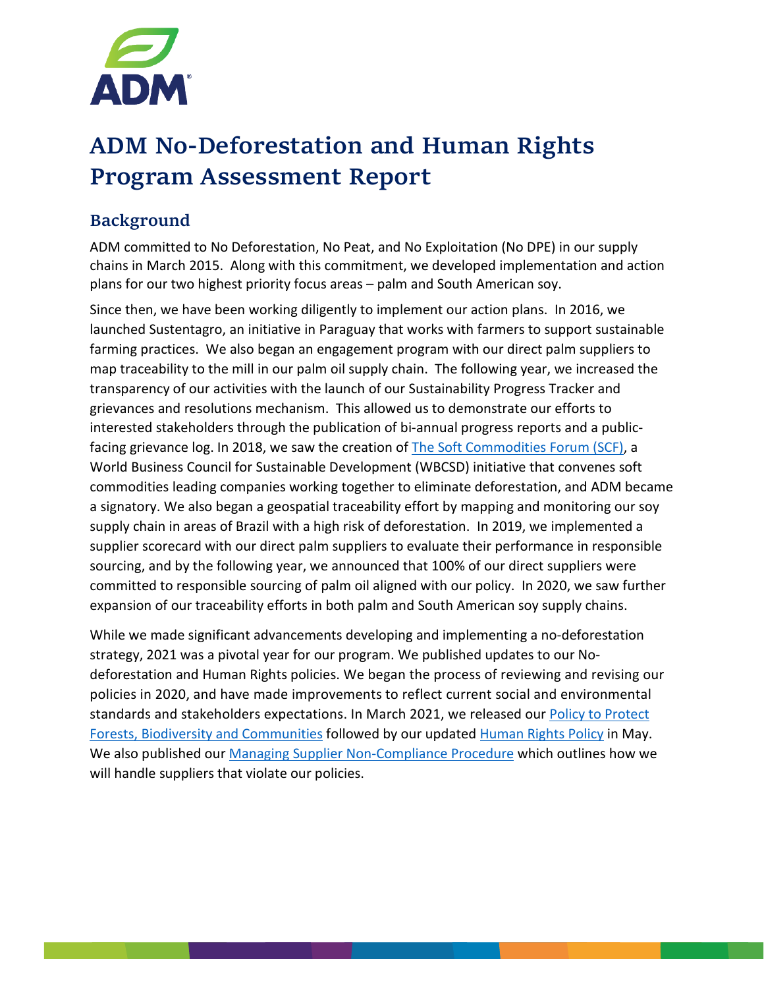

# ADM No-Deforestation and Human Rights Program Assessment Report

# Background

ADM committed to No Deforestation, No Peat, and No Exploitation (No DPE) in our supply chains in March 2015. Along with this commitment, we developed implementation and action plans for our two highest priority focus areas – palm and South American soy.

Since then, we have been working diligently to implement our action plans. In 2016, we launched Sustentagro, an initiative in Paraguay that works with farmers to support sustainable farming practices. We also began an engagement program with our direct palm suppliers to map traceability to the mill in our palm oil supply chain. The following year, we increased the transparency of our activities with the launch of our Sustainability Progress Tracker and grievances and resolutions mechanism. This allowed us to demonstrate our efforts to interested stakeholders through the publication of bi-annual progress reports and a publicfacing grievance log. In 2018, we saw the creation of [The Soft Commodities](https://www.wbcsd.org/Programs/Food-and-Nature/Food-Land-Use/Soft-Commodities-Forum) Forum (SCF), a World Business Council for Sustainable Development (WBCSD) initiative that convenes soft commodities leading companies working together to eliminate deforestation, and ADM became a signatory. We also began a geospatial traceability effort by mapping and monitoring our soy supply chain in areas of Brazil with a high risk of deforestation. In 2019, we implemented a supplier scorecard with our direct palm suppliers to evaluate their performance in responsible sourcing, and by the following year, we announced that 100% of our direct suppliers were committed to responsible sourcing of palm oil aligned with our policy. In 2020, we saw further expansion of our traceability efforts in both palm and South American soy supply chains.

While we made significant advancements developing and implementing a no-deforestation strategy, 2021 was a pivotal year for our program. We published updates to our Nodeforestation and Human Rights policies. We began the process of reviewing and revising our policies in 2020, and have made improvements to reflect current social and environmental standards and stakeholders expectations. In March 2021, we released our Policy to Protect [Forests, Biodiversity and Communities](https://assets.adm.com/Sustainability/ADM-No-Deforestation-Policy_210323_141338.pdf) followed by our updated [Human Rights Policy](https://assets.adm.com/Human-Rights-Policy-2021-update.pdf) in May. We also published our [Managing Supplier Non-Compliance Procedure](https://assets.adm.com/Sustainability/ADM-Managing-Supplier-Non-Compliance_210323_080356.pdf) which outlines how we will handle suppliers that violate our policies.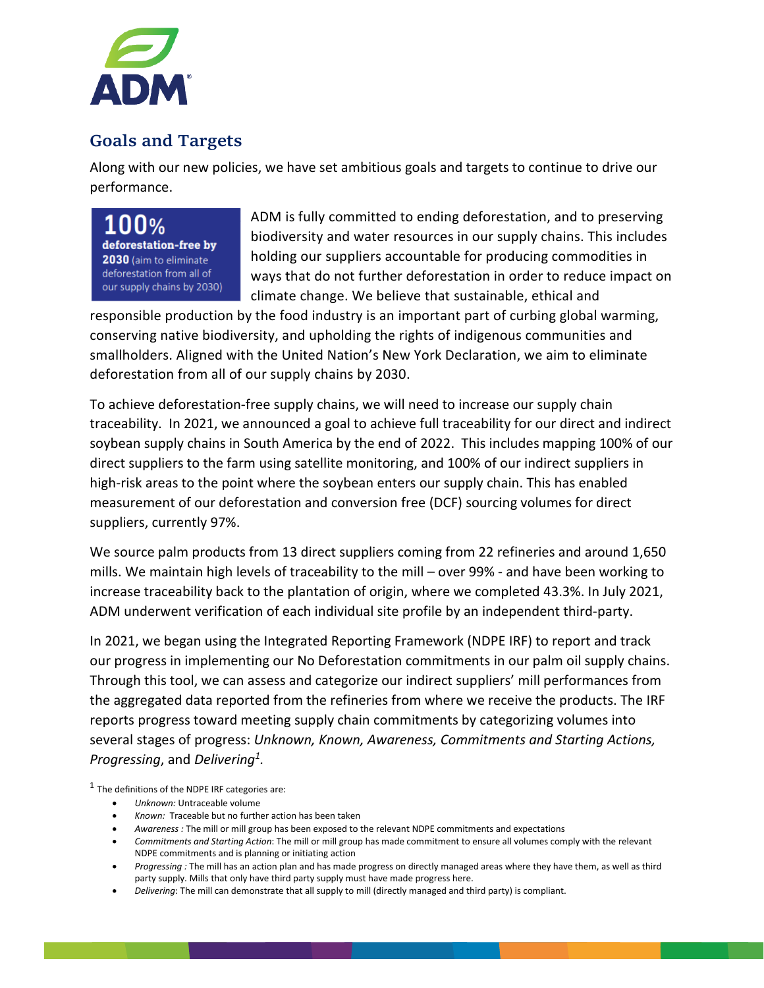

# Goals and Targets

Along with our new policies, we have set ambitious goals and targets to continue to drive our performance.

 $100\%$ deforestation-free by 2030 (aim to eliminate deforestation from all of our supply chains by 2030)

ADM is fully committed to ending deforestation, and to preserving biodiversity and water resources in our supply chains. This includes holding our suppliers accountable for producing commodities in ways that do not further deforestation in order to reduce impact on climate change. We believe that sustainable, ethical and

responsible production by the food industry is an important part of curbing global warming, conserving native biodiversity, and upholding the rights of indigenous communities and smallholders. Aligned with the United Nation's New York Declaration, we aim to eliminate deforestation from all of our supply chains by 2030.

To achieve deforestation-free supply chains, we will need to increase our supply chain traceability. In 2021, we announced a goal to achieve full traceability for our direct and indirect soybean supply chains in South America by the end of 2022. This includes mapping 100% of our direct suppliers to the farm using satellite monitoring, and 100% of our indirect suppliers in high-risk areas to the point where the soybean enters our supply chain. This has enabled measurement of our deforestation and conversion free (DCF) sourcing volumes for direct suppliers, currently 97%.

We source palm products from 13 direct suppliers coming from 22 refineries and around 1,650 mills. We maintain high levels of traceability to the mill – over 99% - and have been working to increase traceability back to the plantation of origin, where we completed 43.3%. In July 2021, ADM underwent verification of each individual site profile by an independent third-party.

In 2021, we began using the Integrated Reporting Framework (NDPE IRF) to report and track our progress in implementing our No Deforestation commitments in our palm oil supply chains. Through this tool, we can assess and categorize our indirect suppliers' mill performances from the aggregated data reported from the refineries from where we receive the products. The IRF reports progress toward meeting supply chain commitments by categorizing volumes into several stages of progress: *Unknown, Known, Awareness, Commitments and Starting Actions, Progressing*, and *Delivering1.*

 $1$  The definitions of the NDPE IRF categories are:

- *Unknown:* Untraceable volume
- *Known:* Traceable but no further action has been taken
- *Awareness :* The mill or mill group has been exposed to the relevant NDPE commitments and expectations
- *Commitments and Starting Action*: The mill or mill group has made commitment to ensure all volumes comply with the relevant NDPE commitments and is planning or initiating action
- *Progressing :* The mill has an action plan and has made progress on directly managed areas where they have them, as well as third party supply. Mills that only have third party supply must have made progress here.
- *Delivering*: The mill can demonstrate that all supply to mill (directly managed and third party) is compliant.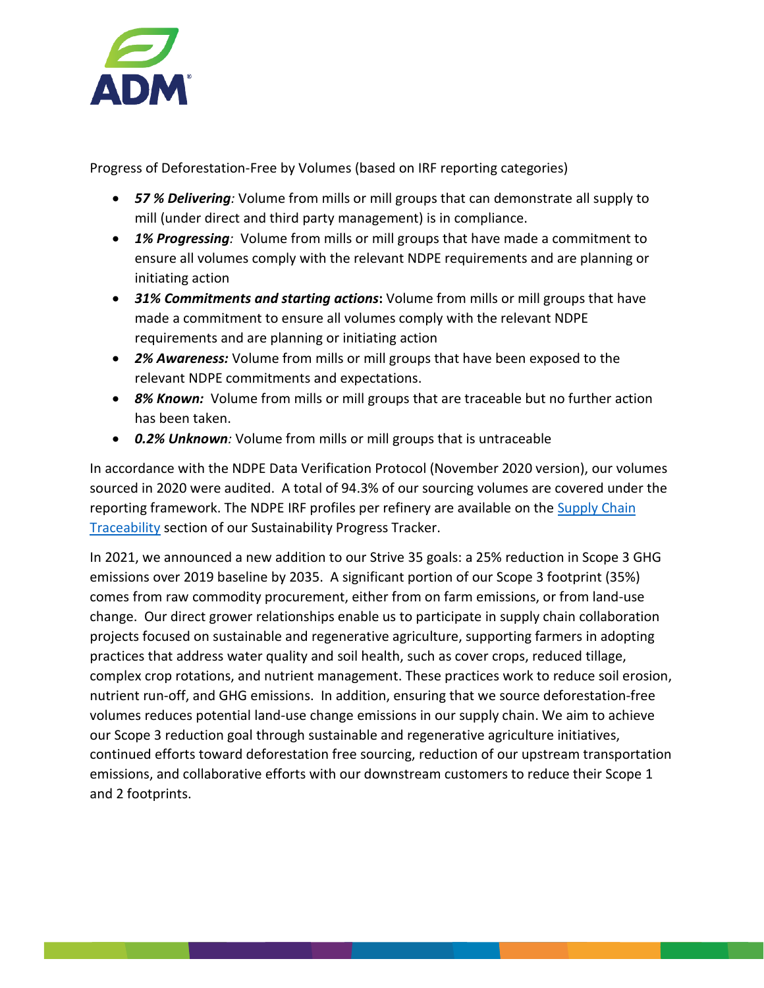

Progress of Deforestation-Free by Volumes (based on IRF reporting categories)

- *57 % Delivering:* Volume from mills or mill groups that can demonstrate all supply to mill (under direct and third party management) is in compliance.
- *1% Progressing:* Volume from mills or mill groups that have made a commitment to ensure all volumes comply with the relevant NDPE requirements and are planning or initiating action
- *31% Commitments and starting actions***:** Volume from mills or mill groups that have made a commitment to ensure all volumes comply with the relevant NDPE requirements and are planning or initiating action
- *2% Awareness:* Volume from mills or mill groups that have been exposed to the relevant NDPE commitments and expectations.
- *8% Known:* Volume from mills or mill groups that are traceable but no further action has been taken.
- *0.2% Unknown:* Volume from mills or mill groups that is untraceable

In accordance with the NDPE Data Verification Protocol (November 2020 version), our volumes sourced in 2020 were audited. A total of 94.3% of our sourcing volumes are covered under the reporting framework. The NDPE IRF profiles per refinery are available on the Supply Chain [Traceability](https://www.adm.com/sustainability/sustainability-progress-tracker/palm-oil/supply-chain-map) section of our Sustainability Progress Tracker.

In 2021, we announced a new addition to our Strive 35 goals: a 25% reduction in Scope 3 GHG emissions over 2019 baseline by 2035. A significant portion of our Scope 3 footprint (35%) comes from raw commodity procurement, either from on farm emissions, or from land-use change. Our direct grower relationships enable us to participate in supply chain collaboration projects focused on sustainable and regenerative agriculture, supporting farmers in adopting practices that address water quality and soil health, such as cover crops, reduced tillage, complex crop rotations, and nutrient management. These practices work to reduce soil erosion, nutrient run-off, and GHG emissions. In addition, ensuring that we source deforestation-free volumes reduces potential land-use change emissions in our supply chain. We aim to achieve our Scope 3 reduction goal through sustainable and regenerative agriculture initiatives, continued efforts toward deforestation free sourcing, reduction of our upstream transportation emissions, and collaborative efforts with our downstream customers to reduce their Scope 1 and 2 footprints.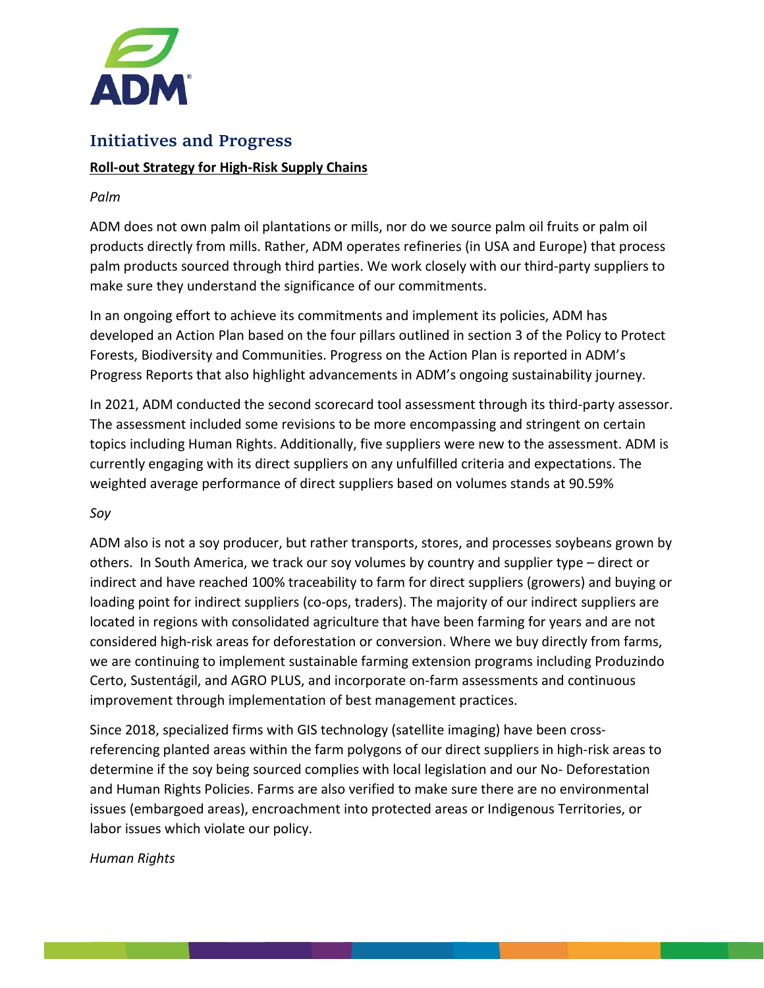

# Initiatives and Progress

## **Roll-out Strategy for High-Risk Supply Chains**

#### *Palm*

ADM does not own palm oil plantations or mills, nor do we source palm oil fruits or palm oil products directly from mills. Rather, ADM operates refineries (in USA and Europe) that process palm products sourced through third parties. We work closely with our third-party suppliers to make sure they understand the significance of our commitments.

In an ongoing effort to achieve its commitments and implement its policies, ADM has developed an Action Plan based on the four pillars outlined in section 3 of the Policy to Protect Forests, Biodiversity and Communities. Progress on the Action Plan is reported in ADM's Progress Reports that also highlight advancements in ADM's ongoing sustainability journey.

In 2021, ADM conducted the second scorecard tool assessment through its third-party assessor. The assessment included some revisions to be more encompassing and stringent on certain topics including Human Rights. Additionally, five suppliers were new to the assessment. ADM is currently engaging with its direct suppliers on any unfulfilled criteria and expectations. The weighted average performance of direct suppliers based on volumes stands at 90.59%

#### *Soy*

ADM also is not a soy producer, but rather transports, stores, and processes soybeans grown by others. In South America, we track our soy volumes by country and supplier type – direct or indirect and have reached 100% traceability to farm for direct suppliers (growers) and buying or loading point for indirect suppliers (co-ops, traders). The majority of our indirect suppliers are located in regions with consolidated agriculture that have been farming for years and are not considered high-risk areas for deforestation or conversion. Where we buy directly from farms, we are continuing to implement sustainable farming extension programs including Produzindo Certo, Sustentágil, and AGRO PLUS, and incorporate on-farm assessments and continuous improvement through implementation of best management practices.

Since 2018, specialized firms with GIS technology (satellite imaging) have been crossreferencing planted areas within the farm polygons of our direct suppliers in high-risk areas to determine if the soy being sourced complies with local legislation and our No- Deforestation and Human Rights Policies. Farms are also verified to make sure there are no environmental issues (embargoed areas), encroachment into protected areas or Indigenous Territories, or labor issues which violate our policy.

#### *Human Rights*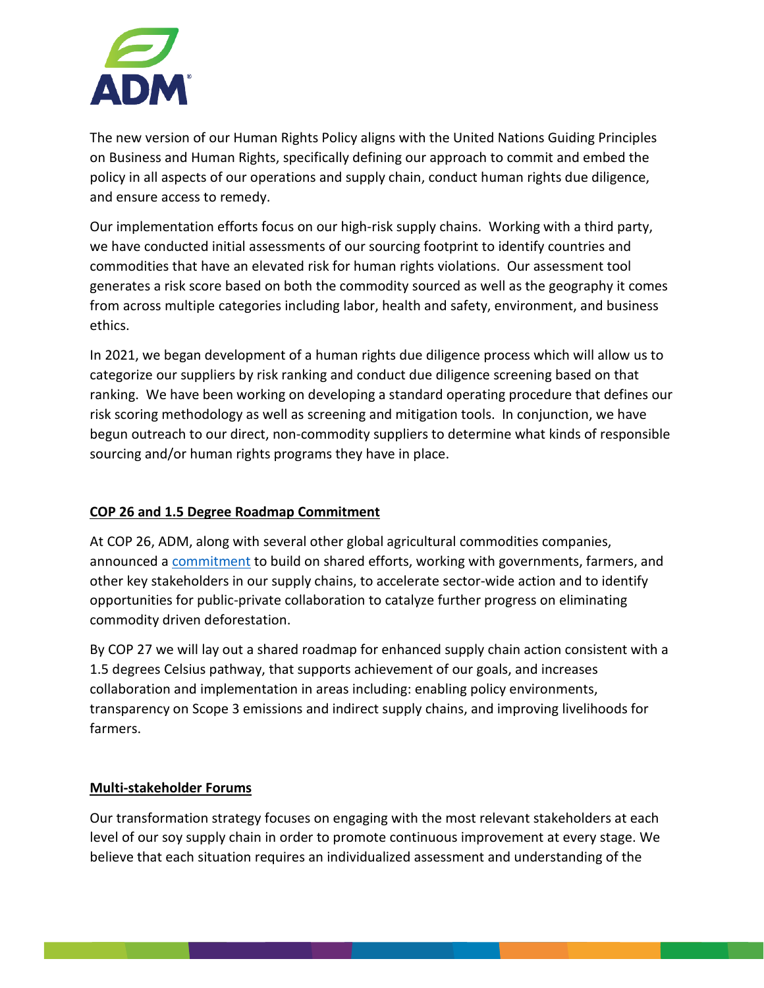

The new version of our Human Rights Policy aligns with the United Nations Guiding Principles on Business and Human Rights, specifically defining our approach to commit and embed the policy in all aspects of our operations and supply chain, conduct human rights due diligence, and ensure access to remedy.

Our implementation efforts focus on our high-risk supply chains. Working with a third party, we have conducted initial assessments of our sourcing footprint to identify countries and commodities that have an elevated risk for human rights violations. Our assessment tool generates a risk score based on both the commodity sourced as well as the geography it comes from across multiple categories including labor, health and safety, environment, and business ethics.

In 2021, we began development of a human rights due diligence process which will allow us to categorize our suppliers by risk ranking and conduct due diligence screening based on that ranking. We have been working on developing a standard operating procedure that defines our risk scoring methodology as well as screening and mitigation tools. In conjunction, we have begun outreach to our direct, non-commodity suppliers to determine what kinds of responsible sourcing and/or human rights programs they have in place.

## **COP 26 and 1.5 Degree Roadmap Commitment**

At COP 26, ADM, along with several other global agricultural commodities companies, announced a [commitment](https://ukcop26.org/agricultural-commodity-companies-corporate-statement-of-purpose/) to build on shared efforts, working with governments, farmers, and other key stakeholders in our supply chains, to accelerate sector-wide action and to identify opportunities for public-private collaboration to catalyze further progress on eliminating commodity driven deforestation.

By COP 27 we will lay out a shared roadmap for enhanced supply chain action consistent with a 1.5 degrees Celsius pathway, that supports achievement of our goals, and increases collaboration and implementation in areas including: enabling policy environments, transparency on Scope 3 emissions and indirect supply chains, and improving livelihoods for farmers.

## **Multi-stakeholder Forums**

Our transformation strategy focuses on engaging with the most relevant stakeholders at each level of our soy supply chain in order to promote continuous improvement at every stage. We believe that each situation requires an individualized assessment and understanding of the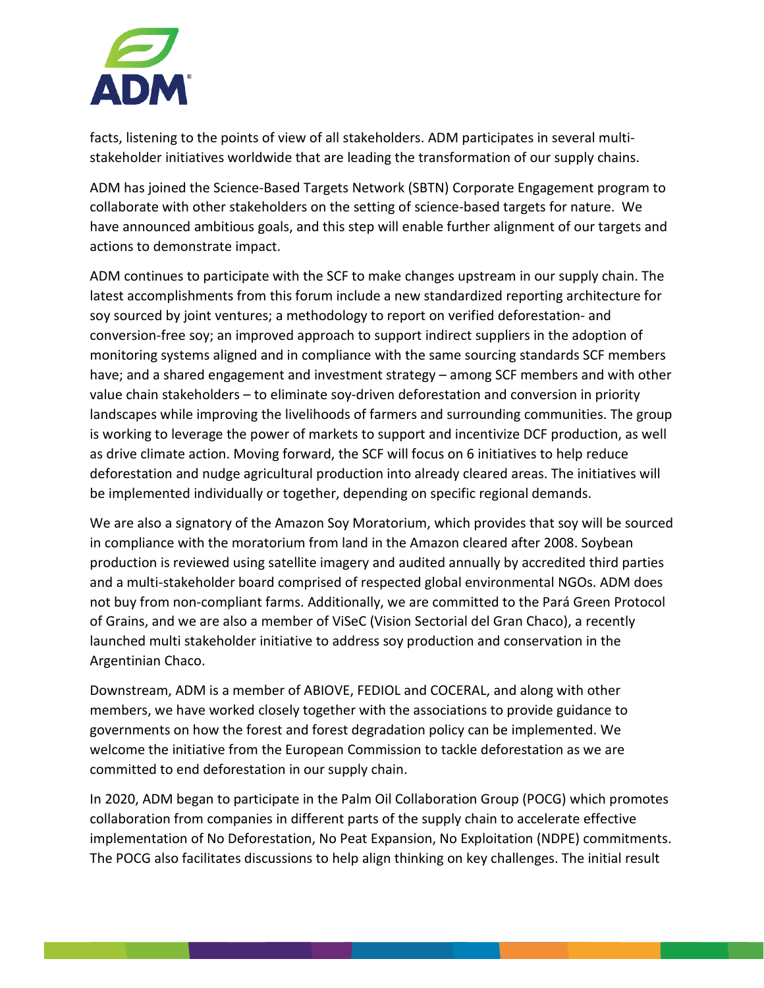

facts, listening to the points of view of all stakeholders. ADM participates in several multistakeholder initiatives worldwide that are leading the transformation of our supply chains.

ADM has joined the Science-Based Targets Network (SBTN) Corporate Engagement program to collaborate with other stakeholders on the setting of science-based targets for nature. We have announced ambitious goals, and this step will enable further alignment of our targets and actions to demonstrate impact.

ADM continues to participate with the SCF to make changes upstream in our supply chain. The latest accomplishments from this forum include a new standardized reporting architecture for soy sourced by joint ventures; a methodology to report on verified deforestation- and conversion-free soy; an improved approach to support indirect suppliers in the adoption of monitoring systems aligned and in compliance with the same sourcing standards SCF members have; and a shared engagement and investment strategy – among SCF members and with other value chain stakeholders – to eliminate soy-driven deforestation and conversion in priority landscapes while improving the livelihoods of farmers and surrounding communities. The group is working to leverage the power of markets to support and incentivize DCF production, as well as drive climate action. Moving forward, the SCF will focus on 6 initiatives to help reduce deforestation and nudge agricultural production into already cleared areas. The initiatives will be implemented individually or together, depending on specific regional demands.

We are also a signatory of the Amazon Soy Moratorium, which provides that soy will be sourced in compliance with the moratorium from land in the Amazon cleared after 2008. Soybean production is reviewed using satellite imagery and audited annually by accredited third parties and a multi-stakeholder board comprised of respected global environmental NGOs. ADM does not buy from non-compliant farms. Additionally, we are committed to the Pará Green Protocol of Grains, and we are also a member of ViSeC (Vision Sectorial del Gran Chaco), a recently launched multi stakeholder initiative to address soy production and conservation in the Argentinian Chaco.

Downstream, ADM is a member of ABIOVE, FEDIOL and COCERAL, and along with other members, we have worked closely together with the associations to provide guidance to governments on how the forest and forest degradation policy can be implemented. We welcome the initiative from the European Commission to tackle deforestation as we are committed to end deforestation in our supply chain.

In 2020, ADM began to participate in the Palm Oil Collaboration Group (POCG) which promotes collaboration from companies in different parts of the supply chain to accelerate effective implementation of No Deforestation, No Peat Expansion, No Exploitation (NDPE) commitments. The POCG also facilitates discussions to help align thinking on key challenges. The initial result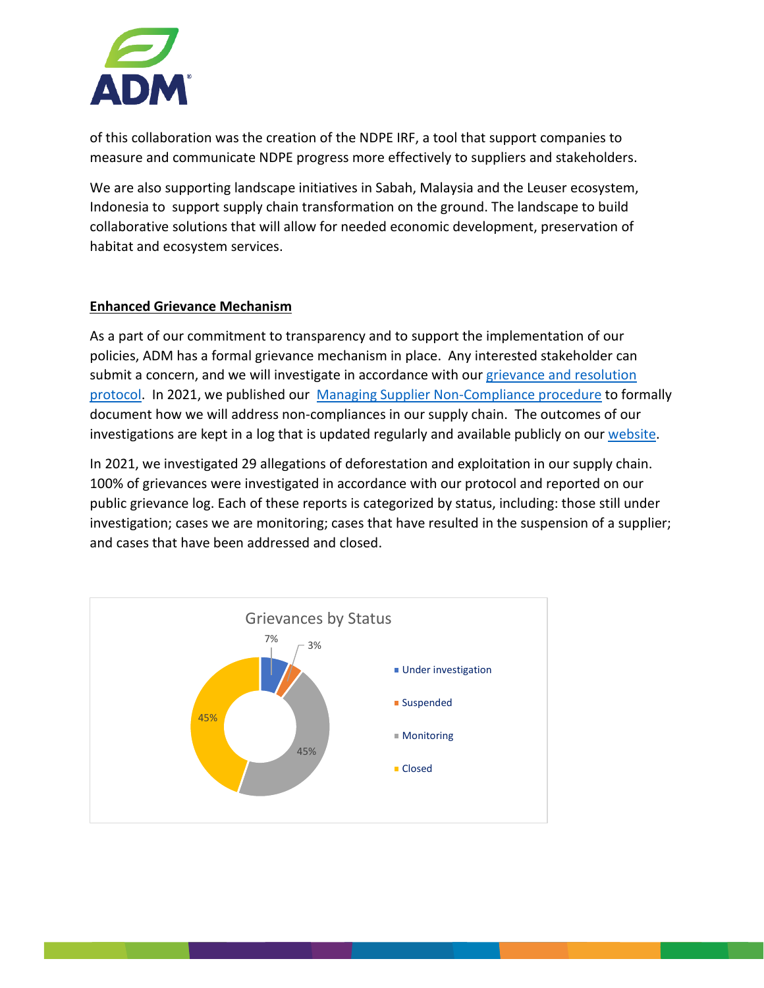

of this collaboration was the creation of the NDPE IRF, a tool that support companies to measure and communicate NDPE progress more effectively to suppliers and stakeholders.

We are also supporting landscape initiatives in Sabah, Malaysia and the Leuser ecosystem, Indonesia to support supply chain transformation on the ground. The landscape to build collaborative solutions that will allow for needed economic development, preservation of habitat and ecosystem services.

## **Enhanced Grievance Mechanism**

As a part of our commitment to transparency and to support the implementation of our policies, ADM has a formal grievance mechanism in place. Any interested stakeholder can submit a concern, and we will investigate in accordance with our grievance and resolution [protocol.](https://assets.adm.com/Sustainability/Grievance-and-Resolution-Logs/Grievances-and-Resolutions-Protocol-2021-update.pdf) In 2021, we published our [Managing Supplier Non-Compliance procedure](https://assets.adm.com/Sustainability/ADM-Managing-Supplier-Non-Compliance_210323_080356.pdf) to formally document how we will address non-compliances in our supply chain. The outcomes of our investigations are kept in a log that is updated regularly and available publicly on our [website.](https://www.adm.com/sustainability/sustainability-progress-tracker/issues-and-resolutions)

In 2021, we investigated 29 allegations of deforestation and exploitation in our supply chain. 100% of grievances were investigated in accordance with our protocol and reported on our public grievance log. Each of these reports is categorized by status, including: those still under investigation; cases we are monitoring; cases that have resulted in the suspension of a supplier; and cases that have been addressed and closed.